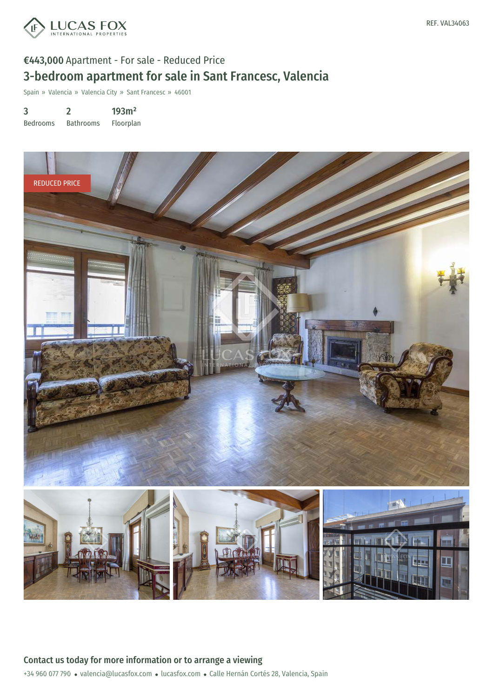

# €443,000 Apartment - For sale - Reduced Price 3-bedroom apartment for sale in Sant Francesc, Valencia

Spain » Valencia » Valencia City » Sant Francesc » 46001

3 Bedrooms 2 Bathrooms 193m² Floorplan

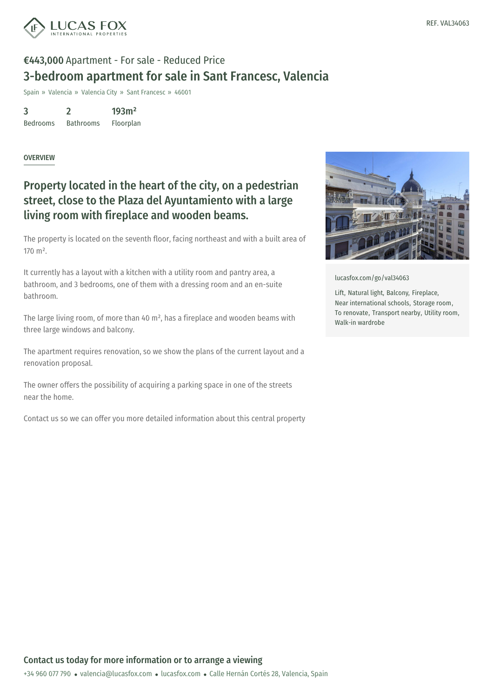

# €443,000 Apartment - For sale - Reduced Price 3-bedroom apartment for sale in Sant Francesc, Valencia

Spain » Valencia » Valencia City » Sant Francesc » 46001

3 Bedrooms 2 Bathrooms 193m²

Floorplan

#### **OVERVIEW**

### Property located in the heart of the city, on a pedestrian street, close to the Plaza del Ayuntamiento with a large living room with fireplace and wooden beams.

The property is located on the seventh floor, facing northeast and with a built area of 170 m².

It currently has a layout with a kitchen with a utility room and pantry area, a bathroom, and 3 bedrooms, one of them with a dressing room and an en-suite bathroom.

The large living room, of more than 40 m², has a fireplace and wooden beams with three large windows and balcony.

The apartment requires renovation, so we show the plans of the current layout and a renovation proposal.

The owner offers the possibility of acquiring a parking space in one of the streets near the home.

Contact us so we can offer you more detailed information about this central property



[lucasfox.com/go/val34063](https://www.lucasfox.com/go/val34063)

Lift, Natural light, Balcony, Fireplace, Near international schools, Storage room, To renovate, Transport nearby, Utility room, Walk-in wardrobe